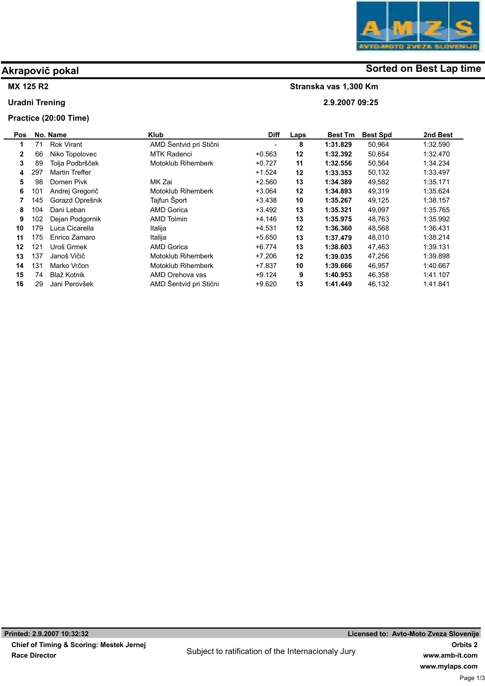# Akrapovič pokal and some of the solution of the Sorted on Best Lap time

Stranska vas 1,300 Km

2.9.2007 09:25

### MX 125 R2

Uradni Trening

## Practice (20:00 Time)

| Pos          |     | No. Name              | <b>Klub</b>               | <b>Diff</b> | Laps | <b>Best Tm</b> | <b>Best Spd</b> | 2nd Best |
|--------------|-----|-----------------------|---------------------------|-------------|------|----------------|-----------------|----------|
| 1            | 71  | <b>Rok Virant</b>     | AMD Šentvid pri Stični    |             | 8    | 1:31.829       | 50,964          | 1:32.590 |
| $\mathbf{2}$ | 66  | Niko Topolovec        | <b>MTK Radenci</b>        | $+0.563$    | 12   | 1:32.392       | 50,654          | 1:32.470 |
| 3            | 89  | Tolja Podbršček       | <b>Motoklub Rihemberk</b> | $+0.727$    | 11   | 1:32.556       | 50,564          | 1:34.234 |
| 4            | 297 | <b>Martin Treffer</b> |                           | $+1.524$    | 12   | 1:33.353       | 50,132          | 1:33.497 |
| 5            | 98  | Domen Pivk            | MK Zai                    | $+2.560$    | 13   | 1:34.389       | 49,582          | 1:35.171 |
| 6            | 101 | Andrej Gregorič       | Motoklub Rihemberk        | $+3.064$    | 12   | 1:34.893       | 49,319          | 1:35.624 |
|              | 145 | Gorazd Oprešnik       | Tajfun Šport              | $+3.438$    | 10   | 1:35.267       | 49,125          | 1:38.157 |
| 8            | 104 | Dani Leban            | <b>AMD Gorica</b>         | $+3.492$    | 13   | 1:35.321       | 49,097          | 1:35.765 |
| 9            | 102 | Dejan Podgornik       | <b>AMD Tolmin</b>         | $+4.146$    | 13   | 1:35.975       | 48,763          | 1:35.992 |
| 10           | 179 | Luca Cicarella        | Italija                   | $+4.531$    | 12   | 1:36.360       | 48.568          | 1:36.431 |
| 11           | 175 | Enrico Zamaro         | Italija                   | $+5.650$    | 13   | 1:37.479       | 48.010          | 1.38.214 |
| 12           | 121 | Uroš Grmek            | <b>AMD Gorica</b>         | $+6.774$    | 13   | 1:38.603       | 47,463          | 1:39.131 |
| 13           | 137 | Janoš Vičič           | Motoklub Rihemberk        | $+7.206$    | 12   | 1:39.035       | 47,256          | 1:39.898 |
| 14           | 131 | Marko Vrčon           | Motoklub Rihemberk        | +7.837      | 10   | 1:39.666       | 46.957          | 1:40.667 |
| 15           | 74  | Blaž Kotnik           | AMD Orehova vas           | $+9.124$    | 9    | 1:40.953       | 46,358          | 1:41.107 |
| 16           | 29  | Jani Perovšek         | AMD Šentvid pri Stični    | $+9.620$    | 13   | 1:41.449       | 46,132          | 1:41.841 |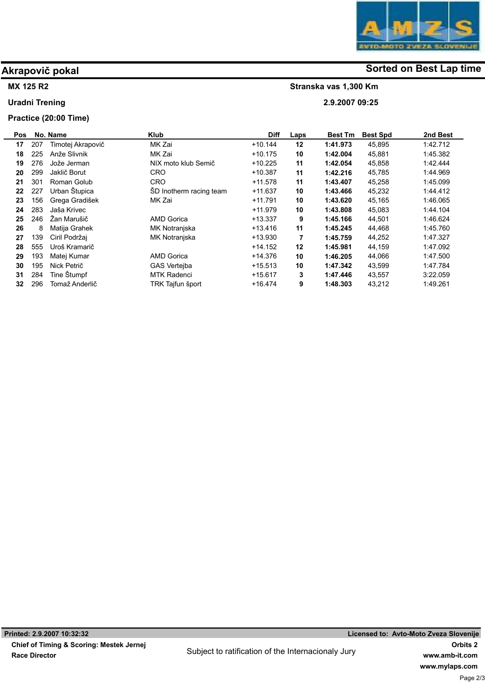# Akrapovič pokal and some of the solution of the Sorted on Best Lap time

Stranska vas 1,300 Km

2.9.2007 09:25

## MX 125 R2

Uradni Trening

### Practice (20:00 Time)

| Pos |     | No. Name          | <b>Klub</b>             | <b>Diff</b> | Laps | <b>Best Tm</b> | <b>Best Spd</b> | 2nd Best |
|-----|-----|-------------------|-------------------------|-------------|------|----------------|-----------------|----------|
| 17  | 207 | Timotej Akrapovič | MK Zai                  | $+10.144$   | 12   | 1:41.973       | 45,895          | 1:42.712 |
| 18  | 225 | Anže Slivnik      | MK Zai                  | $+10.175$   | 10   | 1:42.004       | 45,881          | 1:45.382 |
| 19  | 276 | Jože Jerman       | NIX moto klub Semič     | $+10.225$   | 11   | 1:42.054       | 45,858          | 1:42.444 |
| 20  | 299 | Jaklič Borut      | <b>CRO</b>              | $+10.387$   | 11   | 1:42.216       | 45,785          | 1:44.969 |
| 21  | 301 | Roman Golub       | <b>CRO</b>              | $+11.578$   | 11   | 1:43.407       | 45,258          | 1:45.099 |
| 22  | 227 | Urban Štupica     | SD Inotherm racing team | $+11.637$   | 10   | 1:43.466       | 45,232          | 1.44.412 |
| 23  | 156 | Grega Gradišek    | MK Zai                  | $+11.791$   | 10   | 1:43.620       | 45,165          | 1:46.065 |
| 24  | 283 | Jaša Krivec       |                         | $+11.979$   | 10   | 1:43.808       | 45,083          | 1:44.104 |
| 25  | 246 | Žan Marušič       | <b>AMD Gorica</b>       | $+13.337$   | 9    | 1:45.166       | 44,501          | 1:46.624 |
| 26  | 8   | Matija Grahek     | MK Notranjska           | $+13.416$   | 11   | 1:45.245       | 44,468          | 1:45.760 |
| 27  | 139 | Ciril Podržai     | MK Notranjska           | $+13.930$   | 7    | 1:45.759       | 44,252          | 1:47.327 |
| 28  | 555 | Uroš Kramarič     |                         | $+14.152$   | 12   | 1:45.981       | 44,159          | 1.47.092 |
| 29  | 193 | Matej Kumar       | <b>AMD Gorica</b>       | +14.376     | 10   | 1:46.205       | 44,066          | 1:47.500 |
| 30  | 195 | Nick Petrič       | <b>GAS Verteiba</b>     | $+15.513$   | 10   | 1:47.342       | 43,599          | 1:47.784 |
| 31  | 284 | Tine Štumpf       | <b>MTK Radenci</b>      | $+15.617$   | 3    | 1:47.446       | 43,557          | 3.22.059 |
| 32  | 296 | Tomaž Anderlič    | TRK Tajfun šport        | $+16.474$   | 9    | 1:48.303       | 43,212          | 1.49.261 |